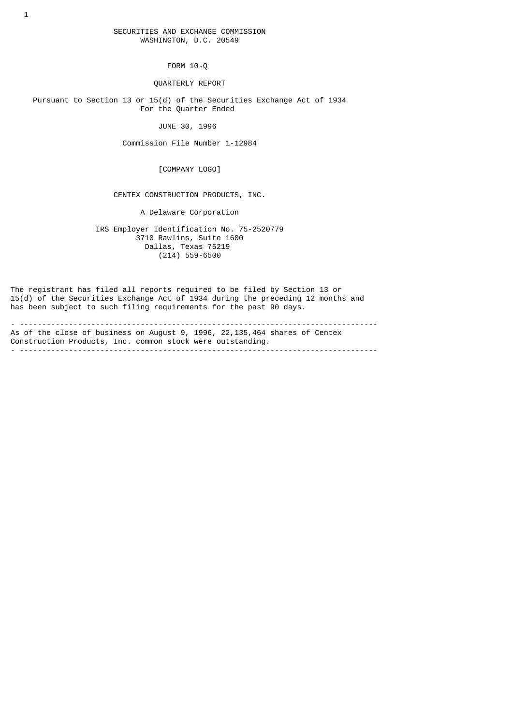FORM 10-Q

QUARTERLY REPORT

 Pursuant to Section 13 or 15(d) of the Securities Exchange Act of 1934 For the Quarter Ended

JUNE 30, 1996

Commission File Number 1-12984

[COMPANY LOGO]

CENTEX CONSTRUCTION PRODUCTS, INC.

A Delaware Corporation

 IRS Employer Identification No. 75-2520779 3710 Rawlins, Suite 1600 Dallas, Texas 75219  $(214)$  559-6500

The registrant has filed all reports required to be filed by Section 13 or 15(d) of the Securities Exchange Act of 1934 during the preceding 12 months and has been subject to such filing requirements for the past 90 days.

- -------------------------------------------------------------------------------- As of the close of business on August 9, 1996, 22,135,464 shares of Centex Construction Products, Inc. common stock were outstanding. - --------------------------------------------------------------------------------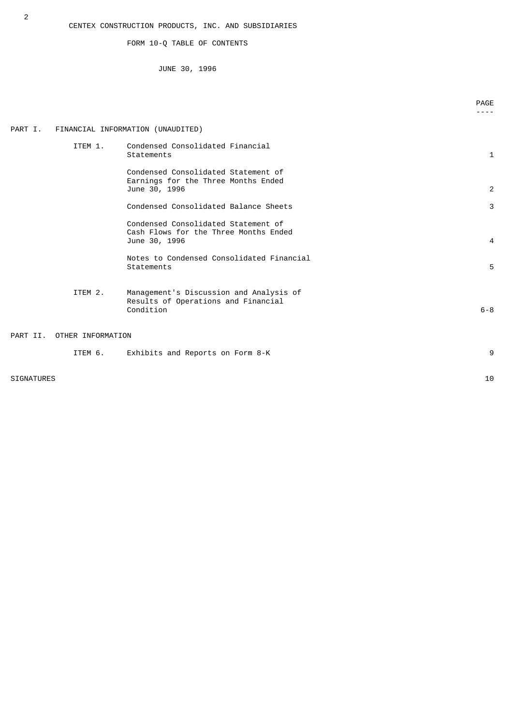FORM 10-Q TABLE OF CONTENTS

JUNE 30, 1996

|                   |                   |                                                                                               | PAGE    |
|-------------------|-------------------|-----------------------------------------------------------------------------------------------|---------|
| PART I.           |                   | FINANCIAL INFORMATION (UNAUDITED)                                                             |         |
|                   | ITEM 1.           | Condensed Consolidated Financial<br>Statements                                                | 1       |
|                   |                   | Condensed Consolidated Statement of<br>Earnings for the Three Months Ended<br>June 30, 1996   | 2       |
|                   |                   | Condensed Consolidated Balance Sheets                                                         | 3       |
|                   |                   | Condensed Consolidated Statement of<br>Cash Flows for the Three Months Ended<br>June 30, 1996 | 4       |
|                   |                   | Notes to Condensed Consolidated Financial<br>Statements                                       | 5       |
|                   | ITEM 2.           | Management's Discussion and Analysis of<br>Results of Operations and Financial<br>Condition   | $6 - 8$ |
| PART II.          | OTHER INFORMATION |                                                                                               |         |
|                   | ITEM 6.           | Exhibits and Reports on Form 8-K                                                              | 9       |
| <b>SIGNATURES</b> |                   |                                                                                               | 10      |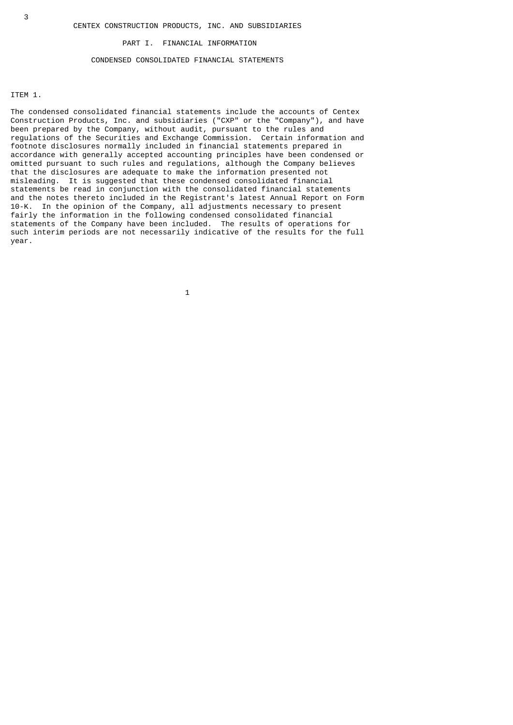#### PART I. FINANCIAL INFORMATION

## CONDENSED CONSOLIDATED FINANCIAL STATEMENTS

## ITEM 1.

The condensed consolidated financial statements include the accounts of Centex Construction Products, Inc. and subsidiaries ("CXP" or the "Company"), and have been prepared by the Company, without audit, pursuant to the rules and regulations of the Securities and Exchange Commission. Certain information and footnote disclosures normally included in financial statements prepared in accordance with generally accepted accounting principles have been condensed or omitted pursuant to such rules and regulations, although the Company believes that the disclosures are adequate to make the information presented not misleading. It is suggested that these condensed consolidated financial statements be read in conjunction with the consolidated financial statements and the notes thereto included in the Registrant's latest Annual Report on Form 10-K. In the opinion of the Company, all adjustments necessary to present fairly the information in the following condensed consolidated financial statements of the Company have been included. The results of operations for such interim periods are not necessarily indicative of the results for the full year.

 $\sim$  1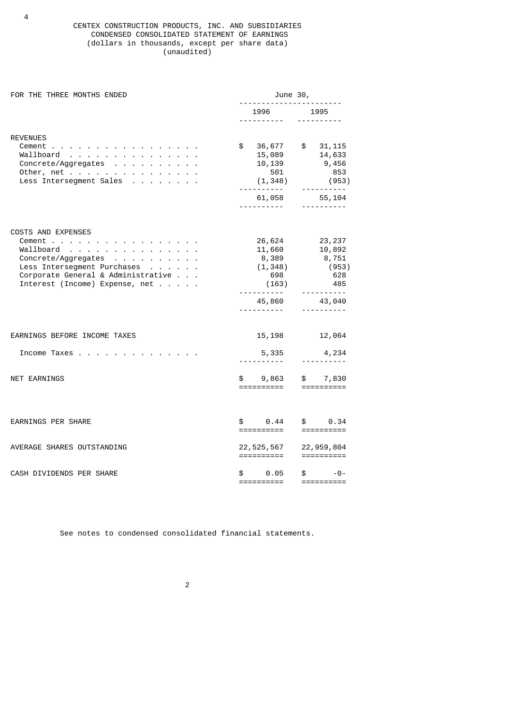## CENTEX CONSTRUCTION PRODUCTS, INC. AND SUBSIDIARIES CONDENSED CONSOLIDATED STATEMENT OF EARNINGS (dollars in thousands, except per share data) (unaudited)

| FOR THE THREE MONTHS ENDED                                                                                                                                                     | June 30,      |                                                                                                                                                                                                                      |  |                                                                                      |  |  |
|--------------------------------------------------------------------------------------------------------------------------------------------------------------------------------|---------------|----------------------------------------------------------------------------------------------------------------------------------------------------------------------------------------------------------------------|--|--------------------------------------------------------------------------------------|--|--|
|                                                                                                                                                                                |               | 1996 —                                                                                                                                                                                                               |  | 1995<br>----------                                                                   |  |  |
| <b>REVENUES</b><br>Cement<br>Wallboard<br>Concrete/Aggregates<br>Other, net<br>Less Intersegment Sales                                                                         | $\frac{1}{2}$ | 36,677 \$ 31,115<br>15,089<br>10,139<br>501<br>(1,348)<br>61,058                                                                                                                                                     |  | 14,633<br>9,456<br>853<br>(953)<br>----------<br>55,104<br><u> - - - - - - - - -</u> |  |  |
| <b>COSTS AND EXPENSES</b><br>Cement<br>Wallboard<br>Concrete/Aggregates<br>Less Intersegment Purchases<br>Corporate General & Administrative<br>Interest (Income) Expense, net |               | 26,624<br>11,660<br>8,389<br>(1, 348)<br>698<br>(163)<br>- - - - - - - - - - <sup>-</sup><br>45,860                                                                                                                  |  | 23,237<br>10.892<br>10,892<br>8,751<br>(953)<br>628<br>485<br>----------<br>43,040   |  |  |
| EARNINGS BEFORE INCOME TAXES                                                                                                                                                   |               | 15, 198 12, 064                                                                                                                                                                                                      |  |                                                                                      |  |  |
| Income Taxes                                                                                                                                                                   |               | 5,335<br>- - - - - - - - - - -                                                                                                                                                                                       |  | 4,234                                                                                |  |  |
| <b>NET EARNINGS</b>                                                                                                                                                            |               | \$9,863<br>==========                                                                                                                                                                                                |  | \$7,830                                                                              |  |  |
| <b>EARNINGS PER SHARE</b>                                                                                                                                                      |               | $\textcolor{red}{\text{\$}} \qquad \textcolor{red}{\text{\$}} \qquad \textcolor{red}{\text{\$}} \qquad \textcolor{red}{\text{\$}} \qquad \textcolor{red}{\text{\$}} \qquad \textcolor{red}{\text{\$}}$<br>========== |  | \$ 0.34                                                                              |  |  |
| AVERAGE SHARES OUTSTANDING                                                                                                                                                     |               | 22, 525, 567<br>==========                                                                                                                                                                                           |  | 22,959,804                                                                           |  |  |
| CASH DIVIDENDS PER SHARE                                                                                                                                                       | \$            | 0.05<br>==========                                                                                                                                                                                                   |  | $\mathbb S$ and $\mathbb S$<br>-0-<br>$=$ ==========                                 |  |  |

See notes to condensed consolidated financial statements.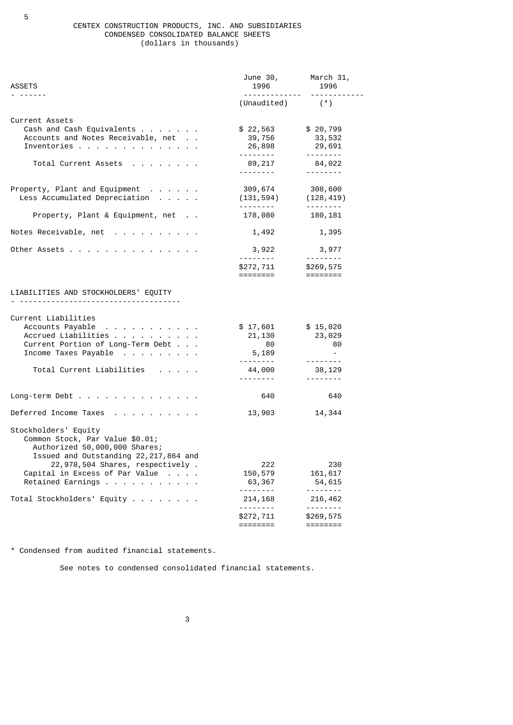#### CENTEX CONSTRUCTION PRODUCTS, INC. AND SUBSIDIARIES CONDENSED CONSOLIDATED BALANCE SHEETS (dollars in thousands)

| <b>ASSETS</b>                                                                                                                                                                                                                           | 1996 — 1996<br>-------------                                                                    | June 30, March 31,<br>1996<br><u> - - - - - - - - - - -</u> |
|-----------------------------------------------------------------------------------------------------------------------------------------------------------------------------------------------------------------------------------------|-------------------------------------------------------------------------------------------------|-------------------------------------------------------------|
|                                                                                                                                                                                                                                         | $(Unaudited)$ $(*)$                                                                             |                                                             |
| Current Assets<br>Cash and Cash Equivalents<br>Accounts and Notes Receivable, net<br>Inventories<br>Total Current Assets                                                                                                                | \$22,563<br>39,756<br>26,898<br>89,217                                                          | \$20,799<br>33,532<br>29,691<br>84,022                      |
|                                                                                                                                                                                                                                         | <u>.</u> .                                                                                      | <u>.</u>                                                    |
| Property, Plant and Equipment<br>Less Accumulated Depreciation                                                                                                                                                                          | 309,674<br>(131, 594)                                                                           | 308,600<br>(128,419)                                        |
| Property, Plant & Equipment, net                                                                                                                                                                                                        | 178,080                                                                                         | 180, 181                                                    |
| Notes Receivable, net                                                                                                                                                                                                                   | 1,492                                                                                           | 1,395                                                       |
| Other Assets                                                                                                                                                                                                                            | 3,922<br>\$272,711<br>========                                                                  | 3,977<br>\$269,575                                          |
| LIABILITIES AND STOCKHOLDERS' EQUITY                                                                                                                                                                                                    |                                                                                                 |                                                             |
| Current Liabilities<br>Accounts Payable<br>Accrued Liabilities<br>Current Portion of Long-Term Debt<br>Income Taxes Payable<br>Total Current Liabilities<br>contract and a state of the state                                           | \$17,601<br>21,130<br>80<br>5,189<br><u>.</u><br>44,000<br><u>.</u>                             | \$15,020<br>23,029<br>- 80<br>$\sim$<br>38,129<br><u>.</u>  |
| Long-term Debt                                                                                                                                                                                                                          | 640                                                                                             | 640                                                         |
| Deferred Income Taxes                                                                                                                                                                                                                   | 13,903                                                                                          | 14,344                                                      |
| Stockholders' Equity<br>Common Stock, Par Value \$0.01;<br>Authorized 50,000,000 Shares;<br>Issued and Outstanding 22, 217, 864 and<br>22,978,504 Shares, respectively.<br>Capital in Excess of Par Value<br>Retained Earnings $\ldots$ | 222<br>150,579<br>63,367<br>$\frac{1}{2}$ .<br><br><br><br><br><br><br><br><br><br><br><br><br> | 230<br>161,617<br>54,615<br>- - - - - - - -                 |
| Total Stockholders' Equity                                                                                                                                                                                                              | 214, 168<br>.                                                                                   | 216,462                                                     |
|                                                                                                                                                                                                                                         | \$272,711<br>========                                                                           | \$269,575<br>========                                       |

\* Condensed from audited financial statements.

See notes to condensed consolidated financial statements.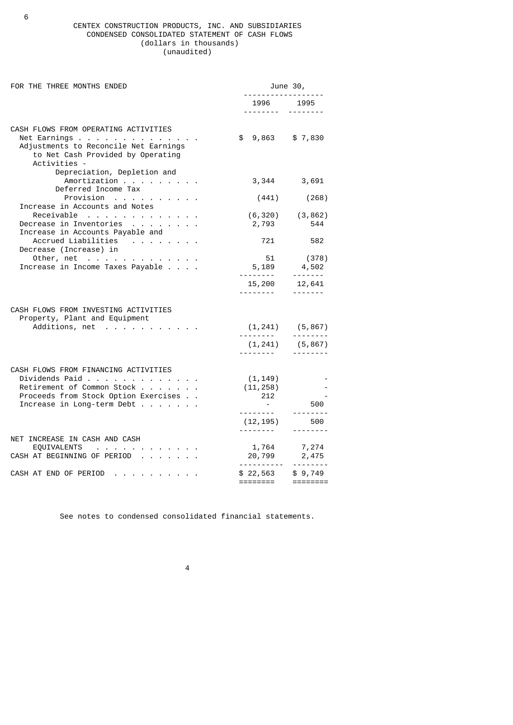### CENTEX CONSTRUCTION PRODUCTS, INC. AND SUBSIDIARIES CONDENSED CONSOLIDATED STATEMENT OF CASH FLOWS (dollars in thousands) (unaudited)

| FOR THE THREE MONTHS ENDED                                                                                                                                   |                              | June 30,                                       |  |  |  |
|--------------------------------------------------------------------------------------------------------------------------------------------------------------|------------------------------|------------------------------------------------|--|--|--|
|                                                                                                                                                              | 1996 1995<br>. <u>.</u>      |                                                |  |  |  |
| CASH FLOWS FROM OPERATING ACTIVITIES<br>Net Earnings<br>Adjustments to Reconcile Net Earnings<br>to Net Cash Provided by Operating<br>Activities -           | $$9,863$ $$7,830$            |                                                |  |  |  |
| Depreciation, Depletion and<br>Amortization<br>Deferred Income Tax                                                                                           |                              | 3,344 3,691                                    |  |  |  |
| Provision                                                                                                                                                    | (441)                        | (268)                                          |  |  |  |
| Increase in Accounts and Notes<br>Receivable<br>Decrease in Inventories                                                                                      | 2,793                        | $(6,320)$ $(3,862)$<br>544                     |  |  |  |
| Increase in Accounts Payable and<br>Accrued Liabilities                                                                                                      | 721                          | 582                                            |  |  |  |
| Decrease (Increase) in<br>Other, net<br>Increase in Income Taxes Payable                                                                                     | 51<br>5,189                  | (378)<br>4,502<br>-------                      |  |  |  |
|                                                                                                                                                              | 15,200                       | 12,641<br>-------                              |  |  |  |
| CASH FLOWS FROM INVESTING ACTIVITIES<br>Property, Plant and Equipment<br>Additions, net                                                                      |                              | $(1, 241)$ $(5, 867)$<br><u> - - - - - - -</u> |  |  |  |
|                                                                                                                                                              | (1, 241)                     | (5, 867)                                       |  |  |  |
| CASH FLOWS FROM FINANCING ACTIVITIES<br>Dividends Paid<br>Retirement of Common Stock<br>Proceeds from Stock Option Exercises<br>Increase in Long-term Debt   | (1, 149)<br>(11, 258)<br>212 | 500<br><u> - - - - - - -</u> -                 |  |  |  |
|                                                                                                                                                              | (12,195)                     | 500                                            |  |  |  |
| NET INCREASE IN CASH AND CASH<br>EQUIVALENTS<br>$\mathcal{O}(1)$ and $\mathcal{O}(1)$ are all the set of the $\mathcal{O}(1)$<br>CASH AT BEGINNING OF PERIOD | 1,764<br>$20,799$ 2,475      | 7,274                                          |  |  |  |
| CASH AT END OF PERIOD                                                                                                                                        | \$22,563<br>========         | \$9,749                                        |  |  |  |
|                                                                                                                                                              |                              |                                                |  |  |  |

See notes to condensed consolidated financial statements.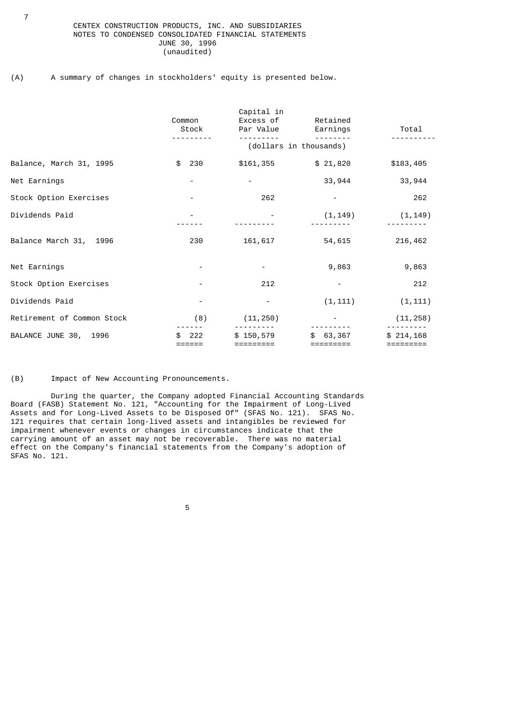## CENTEX CONSTRUCTION PRODUCTS, INC. AND SUBSIDIARIES NOTES TO CONDENSED CONSOLIDATED FINANCIAL STATEMENTS JUNE 30, 1996 (unaudited)

## (A) A summary of changes in stockholders' equity is presented below.

|                            | Common<br>Stock        | Capital in<br>Excess of Retained<br>Par Value | Earnings            | Total                  |  |  |  |  |
|----------------------------|------------------------|-----------------------------------------------|---------------------|------------------------|--|--|--|--|
|                            | (dollars in thousands) |                                               |                     |                        |  |  |  |  |
| Balance, March 31, 1995    | \$<br>230              | \$161,355                                     | \$21,820            | \$183,405              |  |  |  |  |
| Net Earnings               |                        |                                               | 33,944              | 33,944                 |  |  |  |  |
| Stock Option Exercises     |                        | 262                                           |                     | 262                    |  |  |  |  |
| Dividends Paid             |                        |                                               | (1, 149)            | (1, 149)               |  |  |  |  |
| Balance March 31, 1996     | 230                    | 161,617                                       | 54,615              | 216,462                |  |  |  |  |
| Net Earnings               |                        |                                               | 9,863               | 9,863                  |  |  |  |  |
| Stock Option Exercises     |                        | 212                                           |                     | 212                    |  |  |  |  |
| Dividends Paid             |                        |                                               | (1, 111)            | (1, 111)               |  |  |  |  |
| Retirement of Common Stock | (8)                    | (11, 250)                                     |                     | (11, 258)              |  |  |  |  |
| BALANCE JUNE 30, 1996      | 222                    | \$150,579<br>=========                        | 63,367<br>========= | \$214.168<br>========= |  |  |  |  |

(B) Impact of New Accounting Pronouncements.

 During the quarter, the Company adopted Financial Accounting Standards Board (FASB) Statement No. 121, "Accounting for the Impairment of Long-Lived Assets and for Long-Lived Assets to be Disposed Of" (SFAS No. 121). SFAS No. 121 requires that certain long-lived assets and intangibles be reviewed for impairment whenever events or changes in circumstances indicate that the carrying amount of an asset may not be recoverable. There was no material effect on the Company's financial statements from the Company's adoption of SFAS No. 121.

the contract of the contract of the contract of the contract of the contract of the contract of the contract o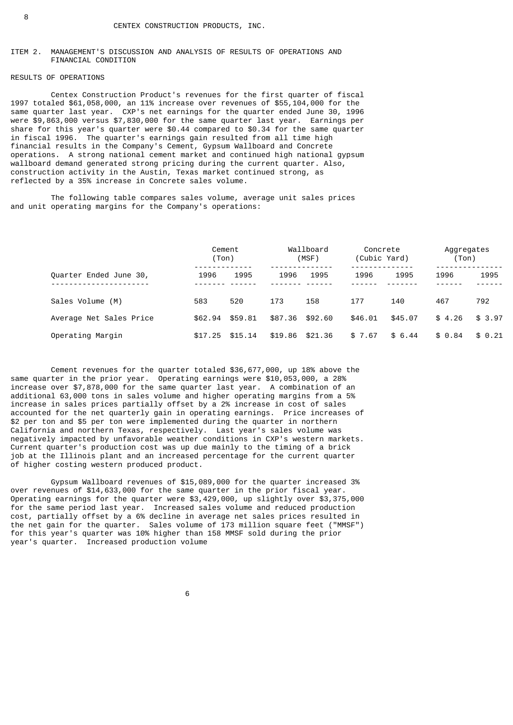## ITEM 2. MANAGEMENT'S DISCUSSION AND ANALYSIS OF RESULTS OF OPERATIONS AND FINANCIAL CONDITION

## RESULTS OF OPERATIONS

 Centex Construction Product's revenues for the first quarter of fiscal 1997 totaled \$61,058,000, an 11% increase over revenues of \$55,104,000 for the same quarter last year. CXP's net earnings for the quarter ended June 30, 1996 were \$9,863,000 versus \$7,830,000 for the same quarter last year. Earnings per share for this year's quarter were \$0.44 compared to \$0.34 for the same quarter in fiscal 1996. The quarter's earnings gain resulted from all time high financial results in the Company's Cement, Gypsum Wallboard and Concrete operations. A strong national cement market and continued high national gypsum wallboard demand generated strong pricing during the current quarter. Also, construction activity in the Austin, Texas market continued strong, as reflected by a 35% increase in Concrete sales volume.

 The following table compares sales volume, average unit sales prices and unit operating margins for the Company's operations:

|                         | Cement<br>(Ton) |         | Wallboard<br>(MSF) |         | Concrete<br>(Cubic Yard) |         | Aggregates<br>(Ton) |        |
|-------------------------|-----------------|---------|--------------------|---------|--------------------------|---------|---------------------|--------|
| Quarter Ended June 30,  | 1996            | 1995    | 1996               | 1995    | 1996                     | 1995    | 1996                | 1995   |
| Sales Volume (M)        | 583             | 520     | 173                | 158     | 177                      | 140     | 467                 | 792    |
| Average Net Sales Price | \$62.94         | \$59.81 | \$87.36 \$92.60    |         | \$46.01                  | \$45.07 | \$4.26              | \$3.97 |
| Operating Margin        | \$17.25         | \$15.14 | \$19.86            | \$21.36 | \$7.67                   | \$6.44  | \$ 0.84             | \$0.21 |

 Cement revenues for the quarter totaled \$36,677,000, up 18% above the same quarter in the prior year. Operating earnings were \$10,053,000, a 28% increase over \$7,878,000 for the same quarter last year. A combination of an additional 63,000 tons in sales volume and higher operating margins from a 5% increase in sales prices partially offset by a 2% increase in cost of sales accounted for the net quarterly gain in operating earnings. Price increases of \$2 per ton and \$5 per ton were implemented during the quarter in northern California and northern Texas, respectively. Last year's sales volume was negatively impacted by unfavorable weather conditions in CXP's western markets. Current quarter's production cost was up due mainly to the timing of a brick job at the Illinois plant and an increased percentage for the current quarter of higher costing western produced product.

 Gypsum Wallboard revenues of \$15,089,000 for the quarter increased 3% over revenues of \$14,633,000 for the same quarter in the prior fiscal year. Operating earnings for the quarter were \$3,429,000, up slightly over \$3,375,000 for the same period last year. Increased sales volume and reduced production cost, partially offset by a 6% decline in average net sales prices resulted in the net gain for the quarter. Sales volume of 173 million square feet ("MMSF") for this year's quarter was 10% higher than 158 MMSF sold during the prior year's quarter. Increased production volume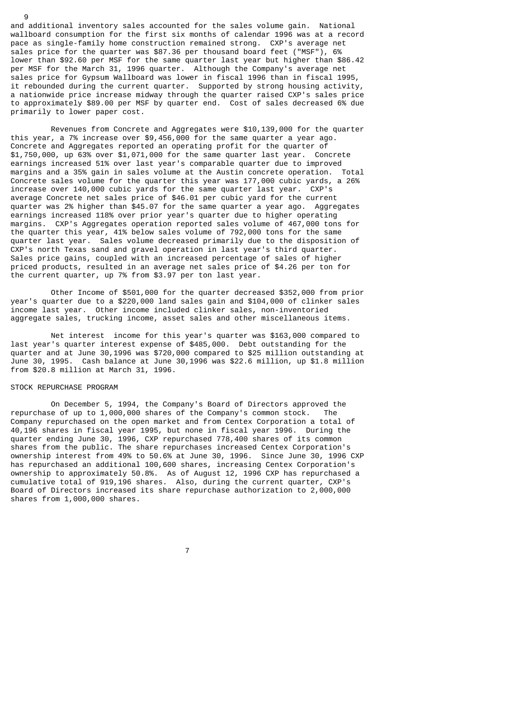and additional inventory sales accounted for the sales volume gain. National wallboard consumption for the first six months of calendar 1996 was at a record pace as single-family home construction remained strong. CXP's average net sales price for the quarter was \$87.36 per thousand board feet ("MSF"), 6% lower than \$92.60 per MSF for the same quarter last year but higher than \$86.42 per MSF for the March 31, 1996 quarter. Although the Company's average net sales price for Gypsum Wallboard was lower in fiscal 1996 than in fiscal 1995, it rebounded during the current quarter. Supported by strong housing activity, a nationwide price increase midway through the quarter raised CXP's sales price to approximately \$89.00 per MSF by quarter end. Cost of sales decreased 6% due primarily to lower paper cost.

 Revenues from Concrete and Aggregates were \$10,139,000 for the quarter this year, a 7% increase over \$9,456,000 for the same quarter a year ago. Concrete and Aggregates reported an operating profit for the quarter of \$1,750,000, up 63% over \$1,071,000 for the same quarter last year. Concrete earnings increased 51% over last year's comparable quarter due to improved margins and a 35% gain in sales volume at the Austin concrete operation. Total Concrete sales volume for the quarter this year was 177,000 cubic yards, a 26% increase over 140,000 cubic yards for the same quarter last year. CXP's average Concrete net sales price of \$46.01 per cubic yard for the current quarter was 2% higher than \$45.07 for the same quarter a year ago. Aggregates earnings increased 118% over prior year's quarter due to higher operating margins. CXP's Aggregates operation reported sales volume of 467,000 tons for the quarter this year, 41% below sales volume of 792,000 tons for the same quarter last year. Sales volume decreased primarily due to the disposition of CXP's north Texas sand and gravel operation in last year's third quarter. Sales price gains, coupled with an increased percentage of sales of higher priced products, resulted in an average net sales price of \$4.26 per ton for the current quarter, up 7% from \$3.97 per ton last year.

 Other Income of \$501,000 for the quarter decreased \$352,000 from prior year's quarter due to a \$220,000 land sales gain and \$104,000 of clinker sales income last year. Other income included clinker sales, non-inventoried aggregate sales, trucking income, asset sales and other miscellaneous items.

 Net interest income for this year's quarter was \$163,000 compared to last year's quarter interest expense of \$485,000. Debt outstanding for the quarter and at June 30,1996 was \$720,000 compared to \$25 million outstanding at June 30, 1995. Cash balance at June 30,1996 was \$22.6 million, up \$1.8 million from \$20.8 million at March 31, 1996.

#### STOCK REPURCHASE PROGRAM

9

 On December 5, 1994, the Company's Board of Directors approved the repurchase of up to 1,000,000 shares of the Company's common stock. The Company repurchased on the open market and from Centex Corporation a total of 40,196 shares in fiscal year 1995, but none in fiscal year 1996. During the quarter ending June 30, 1996, CXP repurchased 778,400 shares of its common shares from the public. The share repurchases increased Centex Corporation's ownership interest from 49% to 50.6% at June 30, 1996. Since June 30, 1996 CXP has repurchased an additional 100,600 shares, increasing Centex Corporation's ownership to approximately 50.8%. As of August 12, 1996 CXP has repurchased a cumulative total of 919,196 shares. Also, during the current quarter, CXP's Board of Directors increased its share repurchase authorization to 2,000,000 shares from 1,000,000 shares.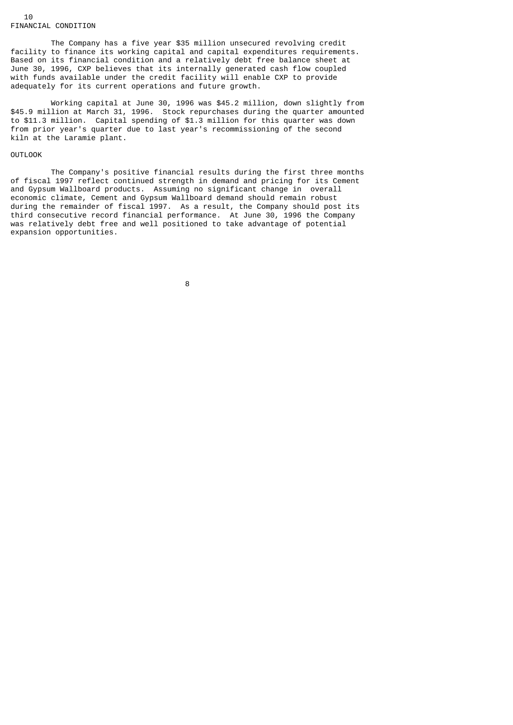The Company has a five year \$35 million unsecured revolving credit facility to finance its working capital and capital expenditures requirements. Based on its financial condition and a relatively debt free balance sheet at June 30, 1996, CXP believes that its internally generated cash flow coupled with funds available under the credit facility will enable CXP to provide adequately for its current operations and future growth.

 Working capital at June 30, 1996 was \$45.2 million, down slightly from \$45.9 million at March 31, 1996. Stock repurchases during the quarter amounted to \$11.3 million. Capital spending of \$1.3 million for this quarter was down from prior year's quarter due to last year's recommissioning of the second kiln at the Laramie plant.

# OUTLOOK

 The Company's positive financial results during the first three months of fiscal 1997 reflect continued strength in demand and pricing for its Cement and Gypsum Wallboard products. Assuming no significant change in overall economic climate, Cement and Gypsum Wallboard demand should remain robust during the remainder of fiscal 1997. As a result, the Company should post its third consecutive record financial performance. At June 30, 1996 the Company was relatively debt free and well positioned to take advantage of potential expansion opportunities.

en andere de la provincia de la provincia de la provincia de la provincia de la provincia de la provincia del<br>En 1888, en 1888, en 1888, en 1888, en 1888, en 1888, en 1888, en 1888, en 1888, en 1888, en 1888, en 1888, en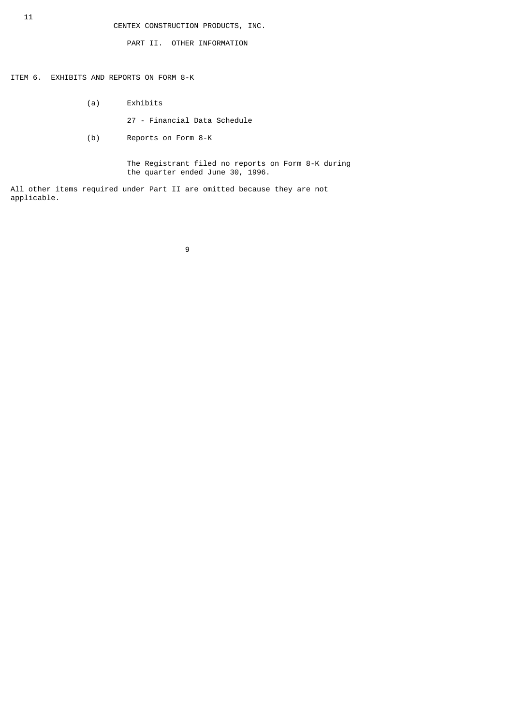PART II. OTHER INFORMATION

ITEM 6. EXHIBITS AND REPORTS ON FORM 8-K

- (a) Exhibits
	- 27 Financial Data Schedule
- (b) Reports on Form 8-K

 The Registrant filed no reports on Form 8-K during the quarter ended June 30, 1996.

All other items required under Part II are omitted because they are not applicable.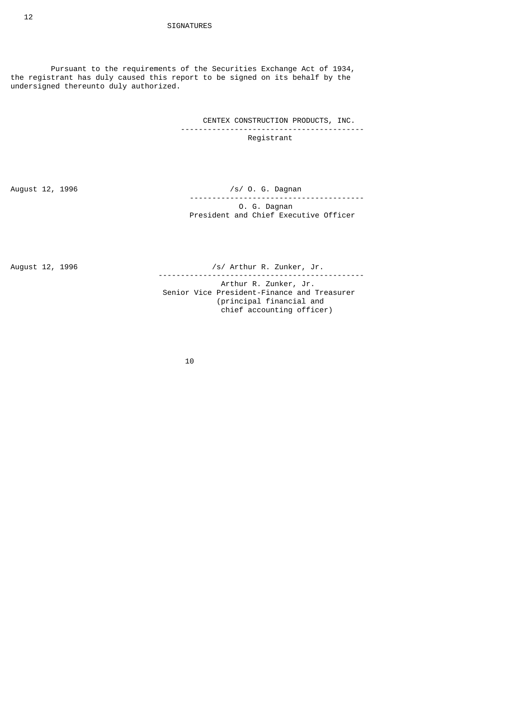Pursuant to the requirements of the Securities Exchange Act of 1934, the registrant has duly caused this report to be signed on its behalf by the undersigned thereunto duly authorized.

> CENTEX CONSTRUCTION PRODUCTS, INC. ----------------------------------------- Registrant

August 12, 1996 **/s/ 0. G. Dagnan**  --------------------------------------- O. G. Dagnan President and Chief Executive Officer

August 12, 1996 **1996** /s/ Arthur R. Zunker, Jr.

 ---------------------------------------------- Arthur R. Zunker, Jr. Senior Vice President-Finance and Treasurer (principal financial and chief accounting officer)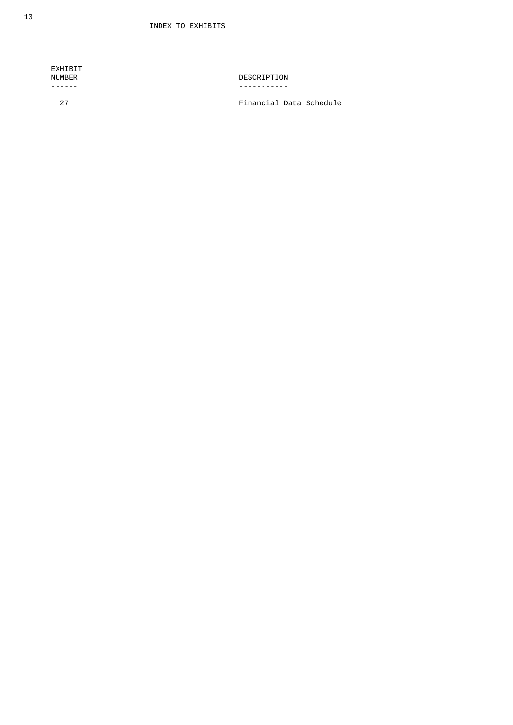| EXHIBIT<br>NUMBER | DESCRIPTION             |
|-------------------|-------------------------|
| 27                | Financial Data Schedule |